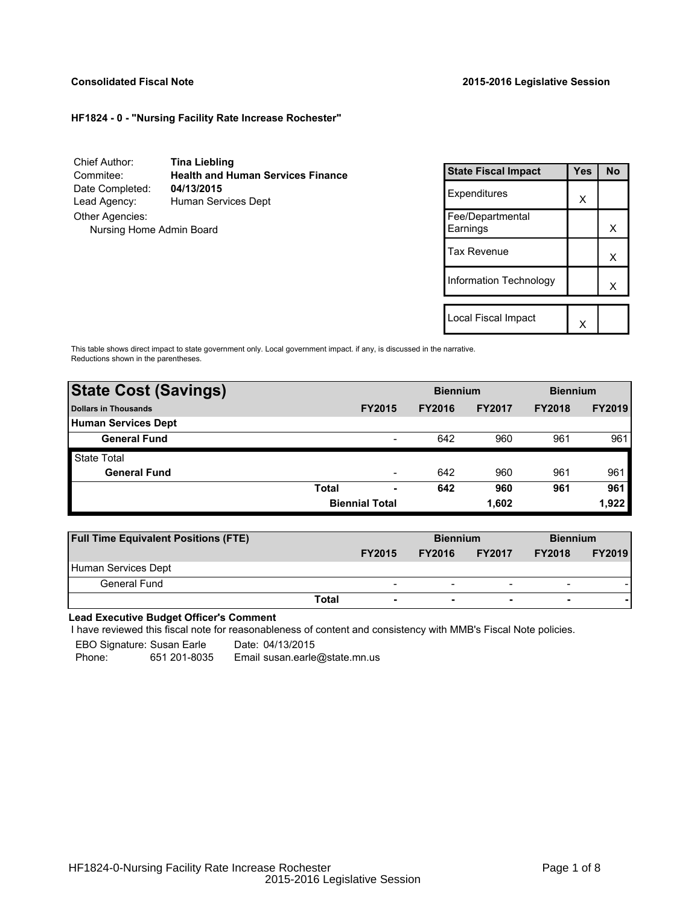### **Consolidated Fiscal Note 2015-2016 Legislative Session**

## **HF1824 - 0 - "Nursing Facility Rate Increase Rochester"**

Chief Author: **Tina Liebling** Commitee: **Health and Human Services Finance** Date Completed: Lead Agency: Human Services Dept Other Agencies: Nursing Home Admin Board

| <b>State Fiscal Impact</b>   | <b>Yes</b> | No |
|------------------------------|------------|----|
| Expenditures                 | x          |    |
| Fee/Departmental<br>Earnings |            | x  |
| <b>Tax Revenue</b>           |            | х  |
| Information Technology       |            | x  |
| Local Fiscal Impact          |            |    |
|                              |            |    |

This table shows direct impact to state government only. Local government impact. if any, is discussed in the narrative. Reductions shown in the parentheses.

| <b>State Cost (Savings)</b> |                       |                          | <b>Biennium</b> |               | <b>Biennium</b> |               |  |
|-----------------------------|-----------------------|--------------------------|-----------------|---------------|-----------------|---------------|--|
| Dollars in Thousands        |                       | <b>FY2015</b>            | <b>FY2016</b>   | <b>FY2017</b> | <b>FY2018</b>   | <b>FY2019</b> |  |
| <b>Human Services Dept</b>  |                       |                          |                 |               |                 |               |  |
| <b>General Fund</b>         |                       | $\overline{\phantom{a}}$ | 642             | 960           | 961             | 961           |  |
| <b>State Total</b>          |                       |                          |                 |               |                 |               |  |
| <b>General Fund</b>         |                       | $\overline{\phantom{0}}$ | 642             | 960           | 961             | 961           |  |
|                             | <b>Total</b>          | ٠                        | 642             | 960           | 961             | 961           |  |
|                             | <b>Biennial Total</b> |                          |                 | 1,602         | 1,922           |               |  |

| <b>Full Time Equivalent Positions (FTE)</b> |                          | <b>Biennium</b> |                          | <b>Biennium</b>          |               |  |
|---------------------------------------------|--------------------------|-----------------|--------------------------|--------------------------|---------------|--|
|                                             | <b>FY2015</b>            | <b>FY2016</b>   | <b>FY2017</b>            | <b>FY2018</b>            | <b>FY2019</b> |  |
| Human Services Dept                         |                          |                 |                          |                          |               |  |
| General Fund                                | $\overline{\phantom{0}}$ | -               | $\overline{\phantom{a}}$ | $\overline{\phantom{0}}$ |               |  |
| Total                                       | $\overline{\phantom{a}}$ | ۰               | $\overline{\phantom{a}}$ |                          |               |  |

**Lead Executive Budget Officer's Comment**

-

I have reviewed this fiscal note for reasonableness of content and consistency with MMB's Fiscal Note policies.

EBO Signature: Susan Earle Date: 04/13/2015 Phone: 651 201-8035 Email susan.earle@state.mn.us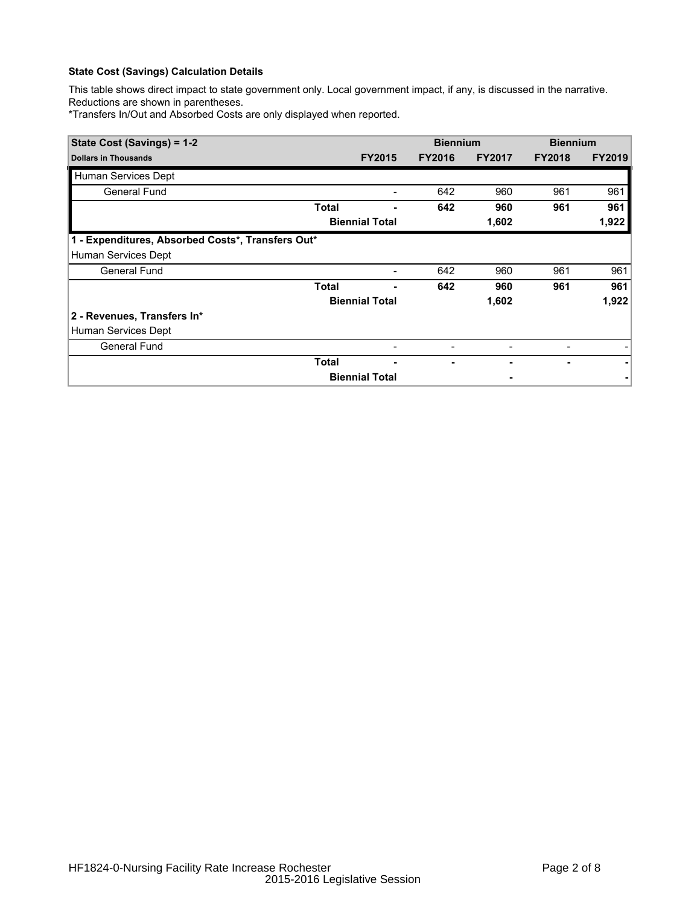# **State Cost (Savings) Calculation Details**

This table shows direct impact to state government only. Local government impact, if any, is discussed in the narrative. Reductions are shown in parentheses.

\*Transfers In/Out and Absorbed Costs are only displayed when reported.

| State Cost (Savings) = 1-2                        |              |                       | <b>Biennium</b> |               | <b>Biennium</b> |               |  |
|---------------------------------------------------|--------------|-----------------------|-----------------|---------------|-----------------|---------------|--|
| <b>Dollars in Thousands</b>                       |              | <b>FY2015</b>         | <b>FY2016</b>   | <b>FY2017</b> | <b>FY2018</b>   | <b>FY2019</b> |  |
| Human Services Dept                               |              |                       |                 |               |                 |               |  |
| General Fund                                      |              |                       | 642             | 960           | 961             | 961           |  |
|                                                   | Total        |                       | 642             | 960           | 961             | 961           |  |
|                                                   |              | <b>Biennial Total</b> |                 | 1,602         |                 | 1,922         |  |
| 1 - Expenditures, Absorbed Costs*, Transfers Out* |              |                       |                 |               |                 |               |  |
| Human Services Dept                               |              |                       |                 |               |                 |               |  |
| <b>General Fund</b>                               |              | -                     | 642             | 960           | 961             | 961           |  |
|                                                   | <b>Total</b> |                       | 642             | 960           | 961             | 961           |  |
|                                                   |              | <b>Biennial Total</b> |                 | 1,602         |                 | 1,922         |  |
| 2 - Revenues, Transfers In*                       |              |                       |                 |               |                 |               |  |
| Human Services Dept                               |              |                       |                 |               |                 |               |  |
| <b>General Fund</b>                               |              |                       |                 |               |                 |               |  |
|                                                   | Total        |                       |                 |               |                 |               |  |
|                                                   |              | <b>Biennial Total</b> |                 |               |                 |               |  |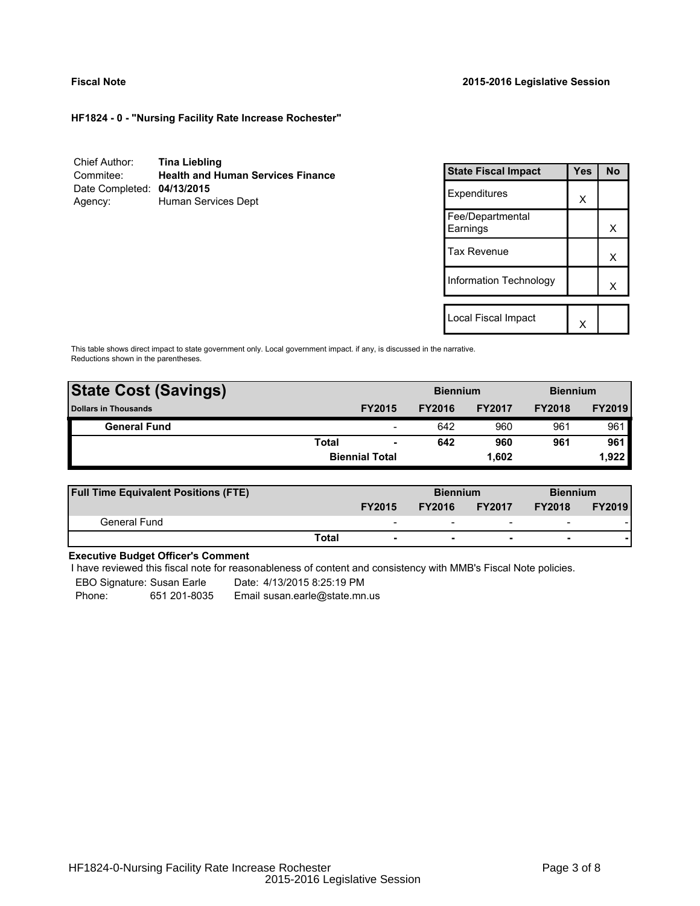### **Fiscal Note 2015-2016 Legislative Session**

**HF1824 - 0 - "Nursing Facility Rate Increase Rochester"**

| Chief Author:              | <b>Tina Liebling</b>                     |
|----------------------------|------------------------------------------|
| Commitee:                  | <b>Health and Human Services Finance</b> |
| Date Completed: 04/13/2015 |                                          |
| Agency:                    | Human Services Dept                      |

| <b>State Fiscal Impact</b>   | Yes | <b>No</b> |
|------------------------------|-----|-----------|
| Expenditures                 | X   |           |
| Fee/Departmental<br>Earnings |     | х         |
| <b>Tax Revenue</b>           |     | x         |
| Information Technology       |     | x         |
|                              |     |           |
| Local Fiscal Impact          |     |           |

This table shows direct impact to state government only. Local government impact. if any, is discussed in the narrative. Reductions shown in the parentheses.

| <b>State Cost (Savings)</b> |                       |                          | <b>Biennium</b> |               | <b>Biennium</b> |               |  |  |
|-----------------------------|-----------------------|--------------------------|-----------------|---------------|-----------------|---------------|--|--|
| <b>Dollars in Thousands</b> |                       | <b>FY2015</b>            | <b>FY2016</b>   | <b>FY2017</b> | <b>FY2018</b>   | <b>FY2019</b> |  |  |
| <b>General Fund</b>         |                       | $\overline{\phantom{a}}$ | 642             | 960           | 961             | 961           |  |  |
|                             | <b>Total</b>          | ٠                        | 642             | 960           | 961             | 961           |  |  |
|                             | <b>Biennial Total</b> |                          |                 | 1.602         |                 | 1.922         |  |  |
|                             |                       |                          |                 |               |                 |               |  |  |

| <b>Full Time Equivalent Positions (FTE)</b> |                          | <b>Biennium</b> |                          | <b>Biennium</b>          |               |
|---------------------------------------------|--------------------------|-----------------|--------------------------|--------------------------|---------------|
|                                             | <b>FY2015</b>            | <b>FY2016</b>   | <b>FY2017</b>            | <b>FY2018</b>            | <b>FY2019</b> |
| General Fund                                | $\overline{\phantom{0}}$ | -               | $\overline{\phantom{0}}$ | $\overline{\phantom{a}}$ |               |
|                                             | Total                    |                 | $\overline{\phantom{0}}$ | $\overline{\phantom{0}}$ |               |

## **Executive Budget Officer's Comment**

I have reviewed this fiscal note for reasonableness of content and consistency with MMB's Fiscal Note policies.

EBO Signature: Susan Earle Date: 4/13/2015 8:25:19 PM

Phone: 651 201-8035 Email susan.earle@state.mn.us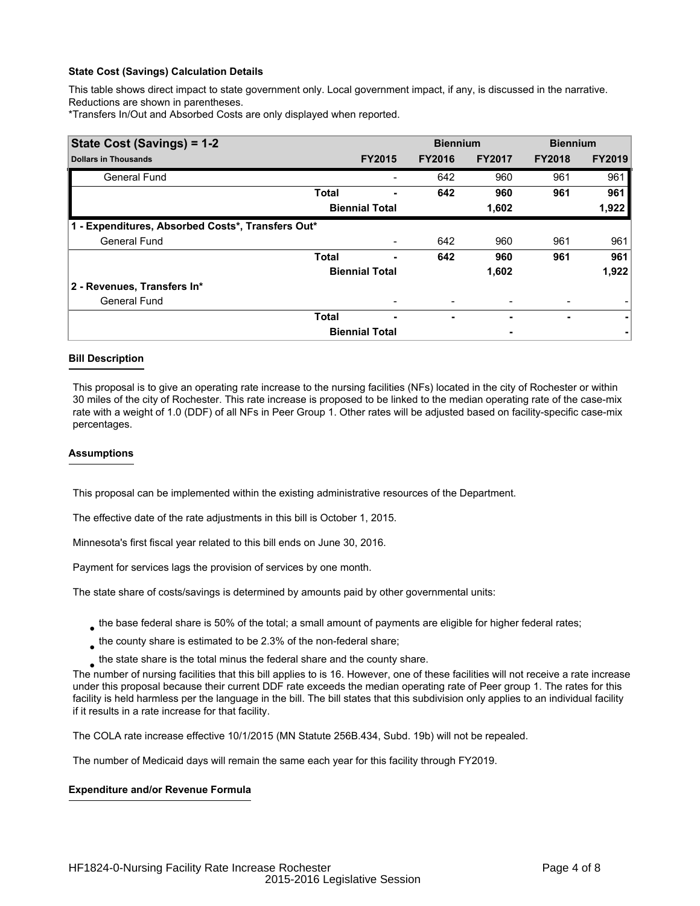## **State Cost (Savings) Calculation Details**

This table shows direct impact to state government only. Local government impact, if any, is discussed in the narrative. Reductions are shown in parentheses.

\*Transfers In/Out and Absorbed Costs are only displayed when reported.

| State Cost (Savings) = 1-2                        |              |                       | <b>Biennium</b> |               | <b>Biennium</b> |               |  |  |
|---------------------------------------------------|--------------|-----------------------|-----------------|---------------|-----------------|---------------|--|--|
| <b>Dollars in Thousands</b>                       |              | <b>FY2015</b>         | <b>FY2016</b>   | <b>FY2017</b> | <b>FY2018</b>   | <b>FY2019</b> |  |  |
| <b>General Fund</b>                               |              |                       | 642             | 960           | 961             | 961           |  |  |
|                                                   | <b>Total</b> |                       | 642             | 960           | 961             | 961           |  |  |
|                                                   |              | <b>Biennial Total</b> |                 | 1,602         |                 | 1,922         |  |  |
| 1 - Expenditures, Absorbed Costs*, Transfers Out* |              |                       |                 |               |                 |               |  |  |
| <b>General Fund</b>                               |              |                       | 642             | 960           | 961             | 961           |  |  |
|                                                   | <b>Total</b> | ۰                     | 642             | 960           | 961             | 961           |  |  |
|                                                   |              | <b>Biennial Total</b> |                 | 1,602         |                 | 1,922         |  |  |
| 2 - Revenues, Transfers In*                       |              |                       |                 |               |                 |               |  |  |
| <b>General Fund</b>                               |              |                       |                 |               |                 |               |  |  |
|                                                   | <b>Total</b> | ٠                     | ۰               |               | ۰               | ۰             |  |  |
|                                                   |              | <b>Biennial Total</b> |                 | ٠             |                 |               |  |  |

#### **Bill Description**

This proposal is to give an operating rate increase to the nursing facilities (NFs) located in the city of Rochester or within 30 miles of the city of Rochester. This rate increase is proposed to be linked to the median operating rate of the case-mix rate with a weight of 1.0 (DDF) of all NFs in Peer Group 1. Other rates will be adjusted based on facility-specific case-mix percentages.

#### **Assumptions**

This proposal can be implemented within the existing administrative resources of the Department.

The effective date of the rate adjustments in this bill is October 1, 2015.

Minnesota's first fiscal year related to this bill ends on June 30, 2016.

Payment for services lags the provision of services by one month.

The state share of costs/savings is determined by amounts paid by other governmental units:

- $_{\bullet}$  the base federal share is 50% of the total; a small amount of payments are eligible for higher federal rates;
- $_{\bullet}$  the county share is estimated to be 2.3% of the non-federal share;
- $_{\bullet}$  the state share is the total minus the federal share and the county share.

The number of nursing facilities that this bill applies to is 16. However, one of these facilities will not receive a rate increase under this proposal because their current DDF rate exceeds the median operating rate of Peer group 1. The rates for this facility is held harmless per the language in the bill. The bill states that this subdivision only applies to an individual facility if it results in a rate increase for that facility.

The COLA rate increase effective 10/1/2015 (MN Statute 256B.434, Subd. 19b) will not be repealed.

The number of Medicaid days will remain the same each year for this facility through FY2019.

#### **Expenditure and/or Revenue Formula**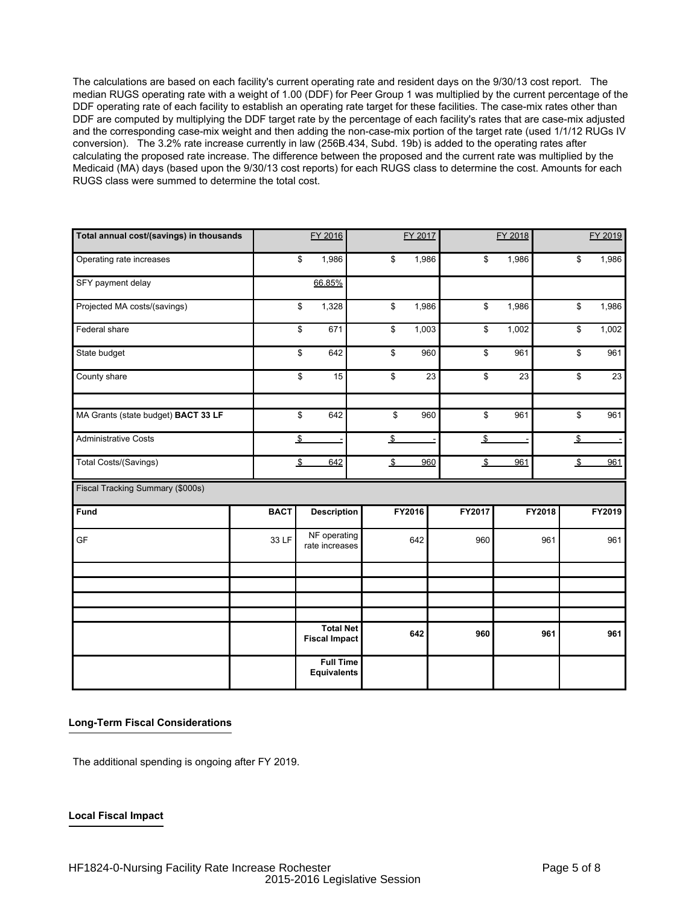The calculations are based on each facility's current operating rate and resident days on the 9/30/13 cost report. The median RUGS operating rate with a weight of 1.00 (DDF) for Peer Group 1 was multiplied by the current percentage of the DDF operating rate of each facility to establish an operating rate target for these facilities. The case-mix rates other than DDF are computed by multiplying the DDF target rate by the percentage of each facility's rates that are case-mix adjusted and the corresponding case-mix weight and then adding the non-case-mix portion of the target rate (used 1/1/12 RUGs IV conversion). The 3.2% rate increase currently in law (256B.434, Subd. 19b) is added to the operating rates after calculating the proposed rate increase. The difference between the proposed and the current rate was multiplied by the Medicaid (MA) days (based upon the 9/30/13 cost reports) for each RUGS class to determine the cost. Amounts for each RUGS class were summed to determine the total cost.

| Total annual cost/(savings) in thousands |             | FY 2016                                  |               | FY 2017 |     |               | FY 2018 |        |                | FY 2019                  |
|------------------------------------------|-------------|------------------------------------------|---------------|---------|-----|---------------|---------|--------|----------------|--------------------------|
| Operating rate increases                 |             | \$<br>1,986                              | \$            | 1,986   |     | \$            | 1,986   |        | \$             | 1,986                    |
| SFY payment delay                        |             | 66.85%                                   |               |         |     |               |         |        |                |                          |
| Projected MA costs/(savings)             |             | \$<br>1,328                              | \$            | 1,986   |     | \$            | 1,986   |        | \$             | 1,986                    |
| Federal share                            |             | \$<br>671                                | \$            | 1,003   |     | \$            | 1,002   |        | \$             | 1,002                    |
| State budget                             |             | \$<br>642                                | \$            |         | 960 | \$            | 961     |        | \$             | 961                      |
| County share                             |             | \$<br>15                                 | \$            |         | 23  | \$            | 23      |        | \$             | 23                       |
| MA Grants (state budget) BACT 33 LF      |             | \$<br>642                                | \$            |         | 960 | \$            | 961     |        | \$             | 961                      |
| <b>Administrative Costs</b>              |             | $\sqrt{2}$<br>$\overline{\phantom{a}}$   | $\frac{1}{2}$ |         |     | $\frac{1}{2}$ |         |        | $\mathfrak{L}$ | $\overline{\phantom{a}}$ |
| Total Costs/(Savings)                    |             | $\frac{3}{2}$<br>642                     | $\sqrt[6]{2}$ |         | 960 | $\sqrt[6]{2}$ | 961     |        | $\sqrt{2}$     | 961                      |
| Fiscal Tracking Summary (\$000s)         |             |                                          |               |         |     |               |         |        |                |                          |
| Fund                                     | <b>BACT</b> | <b>Description</b>                       |               | FY2016  |     | FY2017        |         | FY2018 |                | FY2019                   |
| GF                                       | 33 LF       | NF operating<br>rate increases           |               | 642     |     | 960           |         | 961    |                | 961                      |
|                                          |             |                                          |               |         |     |               |         |        |                |                          |
|                                          |             |                                          |               |         |     |               |         |        |                |                          |
|                                          |             |                                          |               |         |     |               |         |        |                |                          |
|                                          |             | <b>Total Net</b><br><b>Fiscal Impact</b> |               | 642     |     | 960           |         | 961    |                | 961                      |
|                                          |             | <b>Full Time</b><br><b>Equivalents</b>   |               |         |     |               |         |        |                |                          |

#### **Long-Term Fiscal Considerations**

The additional spending is ongoing after FY 2019.

#### **Local Fiscal Impact**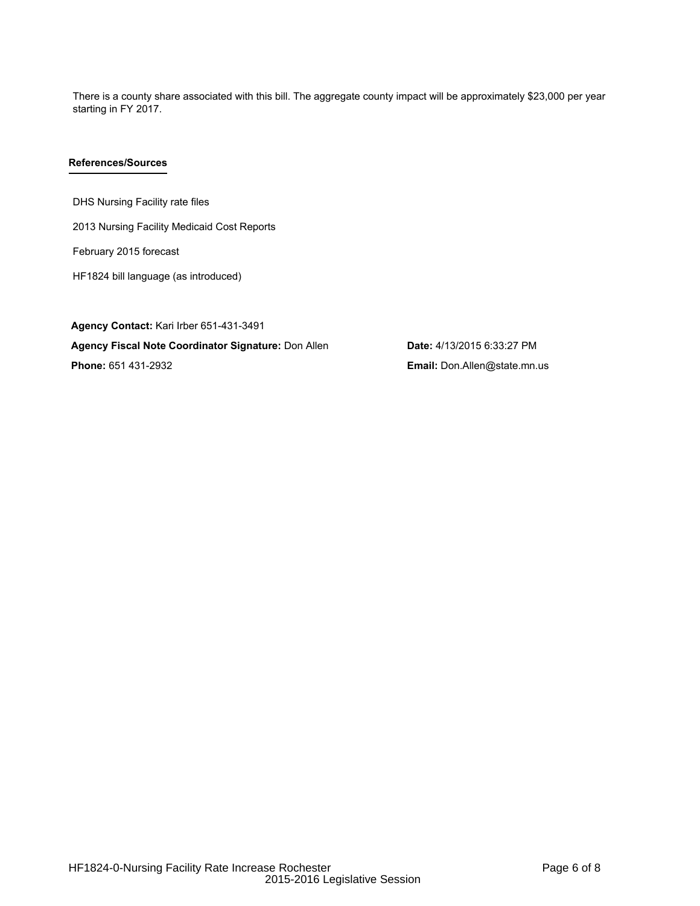There is a county share associated with this bill. The aggregate county impact will be approximately \$23,000 per year starting in FY 2017.

## **References/Sources**

DHS Nursing Facility rate files

2013 Nursing Facility Medicaid Cost Reports

February 2015 forecast

HF1824 bill language (as introduced)

**Agency Contact:** Kari Irber 651-431-3491 **Agency Fiscal Note Coordinator Signature:** Don Allen **Date:** 4/13/2015 6:33:27 PM **Phone:** 651 431-2932 **Email:** Don.Allen@state.mn.us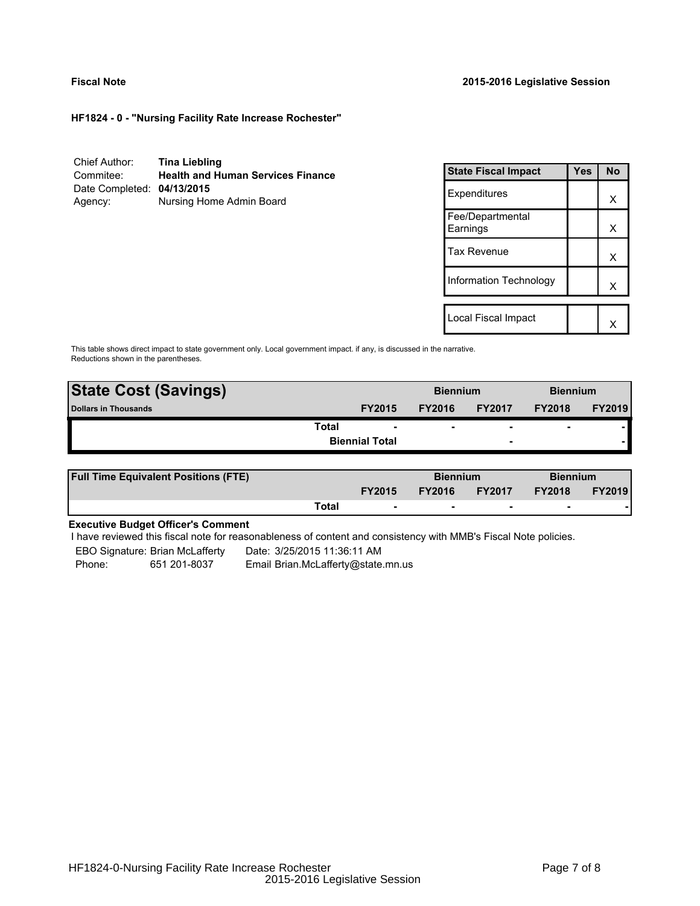### **Fiscal Note 2015-2016 Legislative Session**

**HF1824 - 0 - "Nursing Facility Rate Increase Rochester"**

| Chief Author:              | <b>Tina Liebling</b>                     |
|----------------------------|------------------------------------------|
| Commitee:                  | <b>Health and Human Services Finance</b> |
| Date Completed: 04/13/2015 |                                          |
| Agency:                    | Nursing Home Admin Board                 |

| <b>State Fiscal Impact</b>   | Yes | <b>No</b> |
|------------------------------|-----|-----------|
| Expenditures                 |     | x         |
| Fee/Departmental<br>Earnings |     | x         |
| Tax Revenue                  |     | x         |
| Information Technology       |     | x         |
| Local Fiscal Impact          |     |           |
|                              |     |           |

This table shows direct impact to state government only. Local government impact. if any, is discussed in the narrative. Reductions shown in the parentheses.

| <b>State Cost (Savings)</b> |                       | <b>Biennium</b> |                          | <b>Biennium</b>          |               |
|-----------------------------|-----------------------|-----------------|--------------------------|--------------------------|---------------|
| <b>Dollars in Thousands</b> | <b>FY2015</b>         | <b>FY2016</b>   | <b>FY2017</b>            | <b>FY2018</b>            | <b>FY2019</b> |
| Total                       | ۰                     | ۰               | $\overline{\phantom{0}}$ | $\overline{\phantom{0}}$ |               |
|                             | <b>Biennial Total</b> |                 | -                        |                          |               |
|                             |                       |                 |                          |                          |               |

| <b>Full Time Equivalent Positions (FTE)</b> |       |                          | <b>Biennium</b> |                          | <b>Biennium</b> |               |
|---------------------------------------------|-------|--------------------------|-----------------|--------------------------|-----------------|---------------|
|                                             |       | <b>FY2015</b>            | <b>FY2016</b>   | <b>FY2017</b>            | <b>FY2018</b>   | <b>FY2019</b> |
|                                             | Total | $\overline{\phantom{a}}$ | $\sim$          | $\overline{\phantom{a}}$ | $\sim$          |               |

# **Executive Budget Officer's Comment**

I have reviewed this fiscal note for reasonableness of content and consistency with MMB's Fiscal Note policies.

EBO Signature: Brian McLafferty Date: 3/25/2015 11:36:11 AM Phone: 651 201-8037 Email Brian.McLafferty@state.mn.us